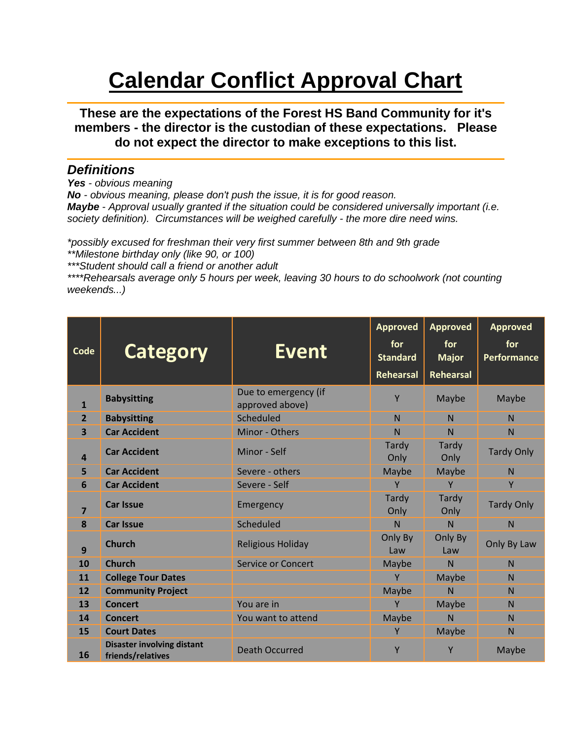## **Calendar Conflict Approval Chart**

**These are the expectations of the Forest HS Band Community for it's members - the director is the custodian of these expectations. Please do not expect the director to make exceptions to this list.**

## *Definitions*

*Yes - obvious meaning*

*No - obvious meaning, please don't push the issue, it is for good reason.*

*Maybe - Approval usually granted if the situation could be considered universally important (i.e. society definition). Circumstances will be weighed carefully - the more dire need wins.*

*\*possibly excused for freshman their very first summer between 8th and 9th grade \*\*Milestone birthday only (like 90, or 100)*

*\*\*\*Student should call a friend or another adult*

*\*\*\*\*Rehearsals average only 5 hours per week, leaving 30 hours to do schoolwork (not counting weekends...)*

| Code                    | <b>Category</b>                                        | <b>Event</b>                            | <b>Approved</b><br>for<br><b>Standard</b><br>Rehearsal | <b>Approved</b><br>for<br><b>Major</b><br>Rehearsal | <b>Approved</b><br>for<br>Performance |
|-------------------------|--------------------------------------------------------|-----------------------------------------|--------------------------------------------------------|-----------------------------------------------------|---------------------------------------|
| 1                       | <b>Babysitting</b>                                     | Due to emergency (if<br>approved above) | Y                                                      | Maybe                                               | Maybe                                 |
| $\overline{2}$          | <b>Babysitting</b>                                     | Scheduled                               | N                                                      | N                                                   | N                                     |
| $\overline{\mathbf{3}}$ | <b>Car Accident</b>                                    | Minor - Others                          | $\mathsf{N}$                                           | N                                                   | N                                     |
| $\overline{a}$          | <b>Car Accident</b>                                    | Minor - Self                            | Tardy<br>Only                                          | Tardy<br>Only                                       | <b>Tardy Only</b>                     |
| 5                       | <b>Car Accident</b>                                    | Severe - others                         | Maybe                                                  | Maybe                                               | N                                     |
| 6                       | <b>Car Accident</b>                                    | Severe - Self                           | Y                                                      | Y                                                   | Y                                     |
| $\overline{\mathbf{z}}$ | <b>Car Issue</b>                                       | Emergency                               | Tardy<br>Only                                          | Tardy<br>Only                                       | <b>Tardy Only</b>                     |
| 8                       | <b>Car Issue</b>                                       | Scheduled                               | $\mathsf{N}$                                           | N                                                   | N                                     |
| 9                       | <b>Church</b>                                          | Religious Holiday                       | Only By<br>Law                                         | Only By<br>Law                                      | Only By Law                           |
| 10                      | <b>Church</b>                                          | <b>Service or Concert</b>               | Maybe                                                  | $\overline{N}$                                      | N                                     |
| 11                      | <b>College Tour Dates</b>                              |                                         | Y                                                      | Maybe                                               | N                                     |
| 12                      | <b>Community Project</b>                               |                                         | Maybe                                                  | $\mathsf{N}$                                        | N                                     |
| 13                      | <b>Concert</b>                                         | You are in                              | Y                                                      | Maybe                                               | N                                     |
| 14                      | <b>Concert</b>                                         | You want to attend                      | Maybe                                                  | N                                                   | N                                     |
| 15                      | <b>Court Dates</b>                                     |                                         | Y                                                      | Maybe                                               | N                                     |
| 16                      | <b>Disaster involving distant</b><br>friends/relatives | <b>Death Occurred</b>                   | Y                                                      | Y                                                   | Maybe                                 |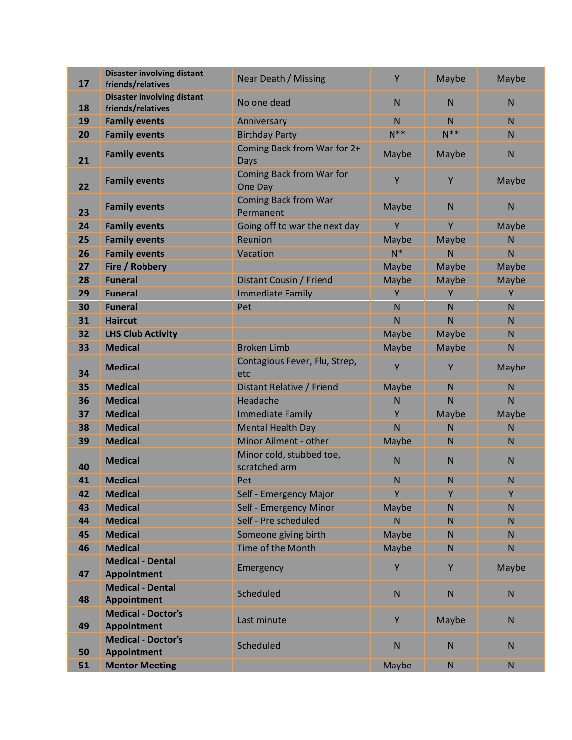| 17 | <b>Disaster involving distant</b><br>friends/relatives | <b>Near Death / Missing</b>               | Y            | Maybe        | Maybe        |
|----|--------------------------------------------------------|-------------------------------------------|--------------|--------------|--------------|
|    | <b>Disaster involving distant</b>                      |                                           |              |              |              |
| 18 | friends/relatives                                      | No one dead                               | N            | N            | N            |
| 19 | <b>Family events</b>                                   | Anniversary                               | $\mathsf{N}$ | N            | $\mathsf{N}$ |
| 20 | <b>Family events</b>                                   | <b>Birthday Party</b>                     | $N^*$        | $N^*$        | $\mathsf{N}$ |
| 21 | <b>Family events</b>                                   | Coming Back from War for 2+<br>Days       | Maybe        | Maybe        | $\mathsf{N}$ |
| 22 | <b>Family events</b>                                   | Coming Back from War for<br>One Day       | Y            | Υ            | Maybe        |
| 23 | <b>Family events</b>                                   | <b>Coming Back from War</b><br>Permanent  | Maybe        | $\mathsf{N}$ | $\mathsf{N}$ |
| 24 | <b>Family events</b>                                   | Going off to war the next day             | Y            | Y            | Maybe        |
| 25 | <b>Family events</b>                                   | Reunion                                   | Maybe        | Maybe        | N            |
| 26 | <b>Family events</b>                                   | Vacation                                  | $N^*$        | $\mathsf{N}$ | $\mathsf{N}$ |
| 27 | Fire / Robbery                                         |                                           | Maybe        | Maybe        | Maybe        |
| 28 | <b>Funeral</b>                                         | Distant Cousin / Friend                   | Maybe        | Maybe        | Maybe        |
| 29 | <b>Funeral</b>                                         | <b>Immediate Family</b>                   | Y            | Υ            | Υ            |
| 30 | <b>Funeral</b>                                         | Pet                                       | N            | N            | $\mathsf{N}$ |
| 31 | <b>Haircut</b>                                         |                                           | N            | N            | N            |
| 32 | <b>LHS Club Activity</b>                               |                                           | Maybe        | Maybe        | N            |
| 33 | <b>Medical</b>                                         | <b>Broken Limb</b>                        | Maybe        | Maybe        | $\mathsf{N}$ |
| 34 | <b>Medical</b>                                         | Contagious Fever, Flu, Strep,<br>etc      | Y            | Y            | Maybe        |
| 35 | <b>Medical</b>                                         | Distant Relative / Friend                 | Maybe        | N            | $\mathsf{N}$ |
| 36 | <b>Medical</b>                                         | Headache                                  | N            | N            | N            |
| 37 | <b>Medical</b>                                         | <b>Immediate Family</b>                   | Y            | Maybe        | Maybe        |
| 38 | <b>Medical</b>                                         | <b>Mental Health Day</b>                  | N            | N            | N            |
| 39 | <b>Medical</b>                                         | Minor Ailment - other                     | Maybe        | N            | N            |
| 40 | <b>Medical</b>                                         | Minor cold, stubbed toe,<br>scratched arm | N            | N            | $\mathsf{N}$ |
| 41 | <b>Medical</b>                                         | Pet                                       | N            | N            | $\mathsf{N}$ |
| 42 | <b>Medical</b>                                         | Self - Emergency Major                    | Y            | Y            | Y            |
| 43 | <b>Medical</b>                                         | Self - Emergency Minor                    | Maybe        | $\mathsf{N}$ | N            |
| 44 | <b>Medical</b>                                         | Self - Pre scheduled                      | N            | $\mathsf{N}$ | $\mathsf{N}$ |
| 45 | <b>Medical</b>                                         | Someone giving birth                      | Maybe        | N            | $\mathsf{N}$ |
| 46 | <b>Medical</b>                                         | Time of the Month                         | Maybe        | $\mathsf{N}$ | N            |
| 47 | <b>Medical - Dental</b><br><b>Appointment</b>          | Emergency                                 | Y            | Y            | Maybe        |
| 48 | <b>Medical - Dental</b><br><b>Appointment</b>          | Scheduled                                 | ${\sf N}$    | ${\sf N}$    | ${\sf N}$    |
| 49 | <b>Medical - Doctor's</b><br><b>Appointment</b>        | Last minute                               | Y            | Maybe        | ${\sf N}$    |
| 50 | <b>Medical - Doctor's</b><br><b>Appointment</b>        | Scheduled                                 | $\mathsf{N}$ | ${\sf N}$    | ${\sf N}$    |
| 51 | <b>Mentor Meeting</b>                                  |                                           | Maybe        | ${\sf N}$    | ${\sf N}$    |